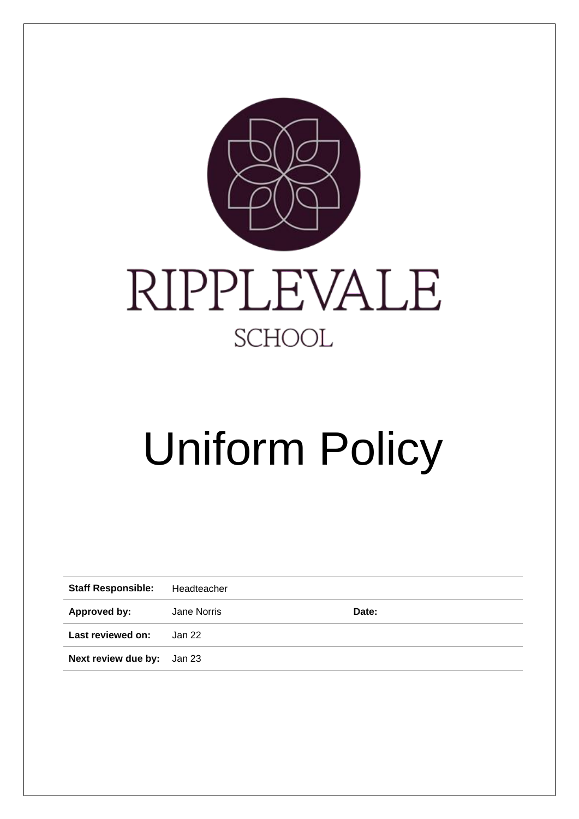

# Uniform Policy

| <b>Staff Responsible:</b>         | Headteacher |       |
|-----------------------------------|-------------|-------|
| Approved by:                      | Jane Norris | Date: |
| Last reviewed on:                 | . Jan 22    |       |
| <b>Next review due by:</b> Jan 23 |             |       |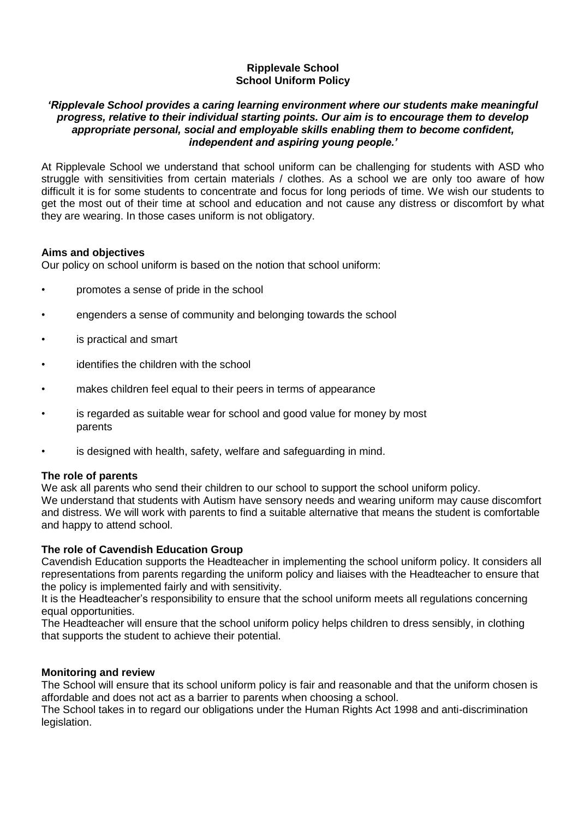# **Ripplevale School School Uniform Policy**

### *'Ripplevale School provides a caring learning environment where our students make meaningful progress, relative to their individual starting points. Our aim is to encourage them to develop appropriate personal, social and employable skills enabling them to become confident, independent and aspiring young people.'*

At Ripplevale School we understand that school uniform can be challenging for students with ASD who struggle with sensitivities from certain materials / clothes. As a school we are only too aware of how difficult it is for some students to concentrate and focus for long periods of time. We wish our students to get the most out of their time at school and education and not cause any distress or discomfort by what they are wearing. In those cases uniform is not obligatory.

# **Aims and objectives**

Our policy on school uniform is based on the notion that school uniform:

- promotes a sense of pride in the school
- engenders a sense of community and belonging towards the school
- is practical and smart
- identifies the children with the school
- makes children feel equal to their peers in terms of appearance
- is regarded as suitable wear for school and good value for money by most parents
- is designed with health, safety, welfare and safeguarding in mind.

# **The role of parents**

We ask all parents who send their children to our school to support the school uniform policy. We understand that students with Autism have sensory needs and wearing uniform may cause discomfort and distress. We will work with parents to find a suitable alternative that means the student is comfortable and happy to attend school.

# **The role of Cavendish Education Group**

Cavendish Education supports the Headteacher in implementing the school uniform policy. It considers all representations from parents regarding the uniform policy and liaises with the Headteacher to ensure that the policy is implemented fairly and with sensitivity.

It is the Headteacher's responsibility to ensure that the school uniform meets all regulations concerning equal opportunities.

The Headteacher will ensure that the school uniform policy helps children to dress sensibly, in clothing that supports the student to achieve their potential.

# **Monitoring and review**

The School will ensure that its school uniform policy is fair and reasonable and that the uniform chosen is affordable and does not act as a barrier to parents when choosing a school.

The School takes in to regard our obligations under the Human Rights Act 1998 and anti-discrimination legislation.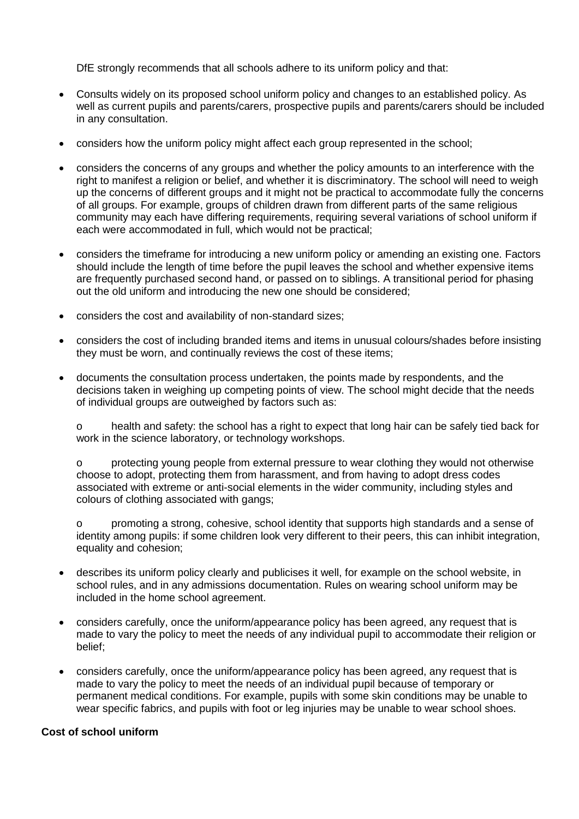DfE strongly recommends that all schools adhere to its uniform policy and that:

- Consults widely on its proposed school uniform policy and changes to an established policy. As well as current pupils and parents/carers, prospective pupils and parents/carers should be included in any consultation.
- considers how the uniform policy might affect each group represented in the school;
- considers the concerns of any groups and whether the policy amounts to an interference with the right to manifest a religion or belief, and whether it is discriminatory. The school will need to weigh up the concerns of different groups and it might not be practical to accommodate fully the concerns of all groups. For example, groups of children drawn from different parts of the same religious community may each have differing requirements, requiring several variations of school uniform if each were accommodated in full, which would not be practical;
- considers the timeframe for introducing a new uniform policy or amending an existing one. Factors should include the length of time before the pupil leaves the school and whether expensive items are frequently purchased second hand, or passed on to siblings. A transitional period for phasing out the old uniform and introducing the new one should be considered;
- considers the cost and availability of non-standard sizes;
- considers the cost of including branded items and items in unusual colours/shades before insisting they must be worn, and continually reviews the cost of these items;
- documents the consultation process undertaken, the points made by respondents, and the decisions taken in weighing up competing points of view. The school might decide that the needs of individual groups are outweighed by factors such as:

o health and safety: the school has a right to expect that long hair can be safely tied back for work in the science laboratory, or technology workshops.

o protecting young people from external pressure to wear clothing they would not otherwise choose to adopt, protecting them from harassment, and from having to adopt dress codes associated with extreme or anti-social elements in the wider community, including styles and colours of clothing associated with gangs;

o promoting a strong, cohesive, school identity that supports high standards and a sense of identity among pupils: if some children look very different to their peers, this can inhibit integration, equality and cohesion;

- describes its uniform policy clearly and publicises it well, for example on the school website, in school rules, and in any admissions documentation. Rules on wearing school uniform may be included in the home school agreement.
- considers carefully, once the uniform/appearance policy has been agreed, any request that is made to vary the policy to meet the needs of any individual pupil to accommodate their religion or belief;
- considers carefully, once the uniform/appearance policy has been agreed, any request that is made to vary the policy to meet the needs of an individual pupil because of temporary or permanent medical conditions. For example, pupils with some skin conditions may be unable to wear specific fabrics, and pupils with foot or leg injuries may be unable to wear school shoes.

# **Cost of school uniform**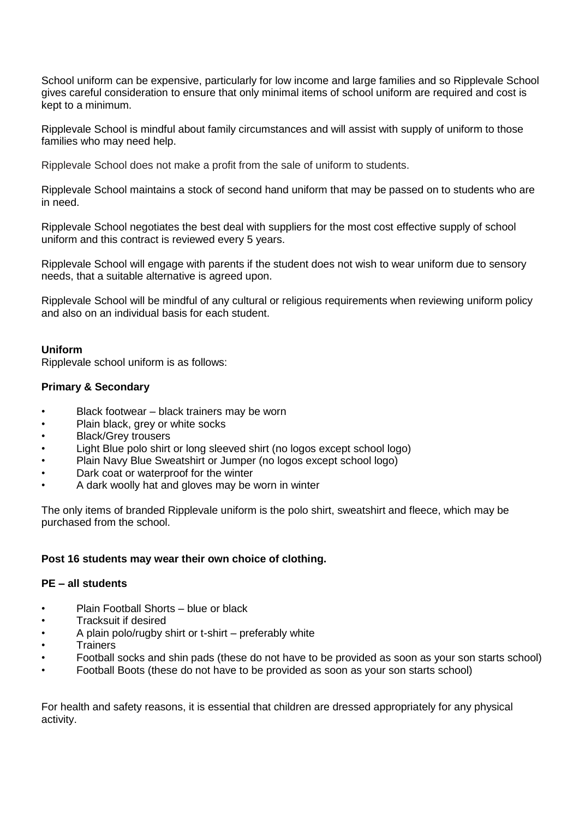School uniform can be expensive, particularly for low income and large families and so Ripplevale School gives careful consideration to ensure that only minimal items of school uniform are required and cost is kept to a minimum.

Ripplevale School is mindful about family circumstances and will assist with supply of uniform to those families who may need help.

Ripplevale School does not make a profit from the sale of uniform to students.

Ripplevale School maintains a stock of second hand uniform that may be passed on to students who are in need.

Ripplevale School negotiates the best deal with suppliers for the most cost effective supply of school uniform and this contract is reviewed every 5 years.

Ripplevale School will engage with parents if the student does not wish to wear uniform due to sensory needs, that a suitable alternative is agreed upon.

Ripplevale School will be mindful of any cultural or religious requirements when reviewing uniform policy and also on an individual basis for each student.

# **Uniform**

Ripplevale school uniform is as follows:

### **Primary & Secondary**

- Black footwear black trainers may be worn
- Plain black, grey or white socks
- Black/Grey trousers
- Light Blue polo shirt or long sleeved shirt (no logos except school logo)
- Plain Navy Blue Sweatshirt or Jumper (no logos except school logo)
- Dark coat or waterproof for the winter
- A dark woolly hat and gloves may be worn in winter

The only items of branded Ripplevale uniform is the polo shirt, sweatshirt and fleece, which may be purchased from the school.

### **Post 16 students may wear their own choice of clothing.**

### **PE – all students**

- Plain Football Shorts blue or black
- Tracksuit if desired
- A plain polo/rugby shirt or t-shirt preferably white
- **Trainers**
- Football socks and shin pads (these do not have to be provided as soon as your son starts school)
- Football Boots (these do not have to be provided as soon as your son starts school)

For health and safety reasons, it is essential that children are dressed appropriately for any physical activity.